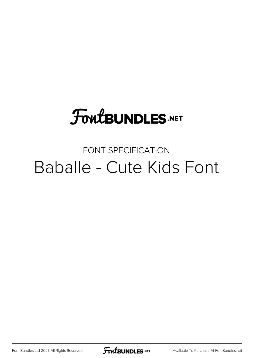# **FoutBUNDLES.NET**

#### FONT SPECIFICATION Baballe - Cute Kids Font

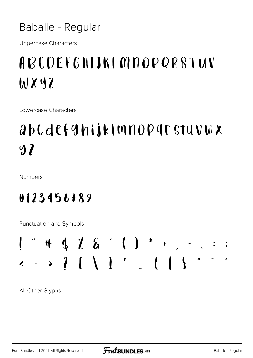Baballe - Regular

**Uppercase Characters** 

### ABCDEFGHIJKLMNOPQRSTUV WXYZ

Lowercase Characters

## abcdefghijklmnoparstuvwx  $9<sub>l</sub>$

Numbers

#### 0123456789

Punctuation and Symbols



All Other Glyphs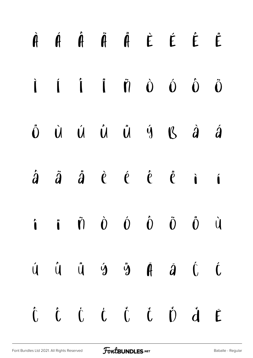|  |  |  | $\begin{array}{ccccccccccccccccc} \hat{\mathbf{H}} & \hat{\mathbf{H}} & \hat{\mathbf{H}} & \hat{\mathbf{H}} & \hat{\mathbf{H}} & \hat{\mathbf{H}} & \hat{\mathbf{E}} & \hat{\mathbf{E}} & \hat{\mathbf{E}} & \hat{\mathbf{E}} & \hat{\mathbf{H}} & \hat{\mathbf{H}} & \hat{\mathbf{H}} & \hat{\mathbf{H}} & \hat{\mathbf{H}} & \hat{\mathbf{H}} & \hat{\mathbf{H}} & \hat{\mathbf{H}} & \hat{\mathbf{H}} & \hat{\mathbf{H}} & \hat{\mathbf{H}} & \hat{\mathbf{H}} & \hat{\mathbf{H}} & \hat$       |  |
|--|--|--|----------------------------------------------------------------------------------------------------------------------------------------------------------------------------------------------------------------------------------------------------------------------------------------------------------------------------------------------------------------------------------------------------------------------------------------------------------------------------------------------------|--|
|  |  |  | $\dot{\mathbf{i}}$ $\dot{\mathbf{i}}$ $\dot{\mathbf{i}}$ $\ddot{\mathbf{n}}$ $\dot{\mathbf{0}}$ $\dot{\mathbf{0}}$ $\dot{\mathbf{0}}$                                                                                                                                                                                                                                                                                                                                                              |  |
|  |  |  | ÖÙÚ Û Ű Ű Ý K À Á                                                                                                                                                                                                                                                                                                                                                                                                                                                                                  |  |
|  |  |  | $\hat{a}$ $\hat{a}$ $\hat{a}$ $\hat{c}$ $\hat{c}$ $\hat{c}$ $\hat{c}$ i                                                                                                                                                                                                                                                                                                                                                                                                                            |  |
|  |  |  | $\hat{\mathbf{i}}$ $\hat{\mathbf{i}}$ $\hat{\mathbf{v}}$ $\hat{\mathbf{0}}$ $\hat{\mathbf{0}}$ $\hat{\mathbf{0}}$ $\hat{\mathbf{0}}$ $\hat{\mathbf{0}}$ $\hat{\mathbf{u}}$                                                                                                                                                                                                                                                                                                                         |  |
|  |  |  | $\begin{array}{ccccccccccccccccc} \mathring{U} & \mathring{U} & \mathring{U} & \mathring{U} & \mathring{Y} & \mathring{Y} & \mathring{H} & \mathring{d} & \mathring{U} & \mathring{U} & \mathring{U} & \mathring{U} & \mathring{U} & \mathring{U} & \mathring{U} & \mathring{U} & \mathring{U} & \mathring{U} & \mathring{U} & \mathring{U} & \mathring{U} & \mathring{U} & \mathring{U} & \mathring{U} & \mathring{U} & \mathring{U} & \mathring{U} & \mathring{U} & \mathring{U} & \mathring{U}$ |  |
|  |  |  | Ô Ô Ċ Ċ Č Č Ŏ ď Ē                                                                                                                                                                                                                                                                                                                                                                                                                                                                                  |  |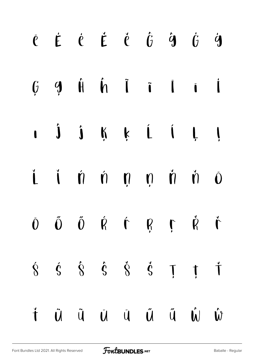|  | $\begin{array}{cccccccccccccc} \hat{C} & \hat{E} & \hat{C} & \hat{C} & \hat{C} & \hat{C} & \hat{G} & \hat{G} & \hat{G} & \hat{G} & \hat{G} & \end{array}$                                                                                                                                                                                                                                                                                                                                    |  |  |  |
|--|----------------------------------------------------------------------------------------------------------------------------------------------------------------------------------------------------------------------------------------------------------------------------------------------------------------------------------------------------------------------------------------------------------------------------------------------------------------------------------------------|--|--|--|
|  | $\begin{array}{ccccccccccccc}\nG & Q & \hat{H} & \hat{H} & \hat{I} & \hat{I} & \hat{I} & \hat{I}\n\end{array}$                                                                                                                                                                                                                                                                                                                                                                               |  |  |  |
|  | $\mathbf{i}$ $\mathbf{j}$ $\mathbf{k}$ $\mathbf{k}$ $\mathbf{i}$ $\mathbf{k}$ $\mathbf{j}$                                                                                                                                                                                                                                                                                                                                                                                                   |  |  |  |
|  | i i ń ń ņ ņ ň ň ō                                                                                                                                                                                                                                                                                                                                                                                                                                                                            |  |  |  |
|  | $\begin{array}{ccccccccccccccccc} \hat{\mathbf{0}} & \hat{\mathbf{0}} & \hat{\mathbf{0}} & \hat{\mathbf{0}} & \hat{\mathbf{0}} & \hat{\mathbf{0}} & \hat{\mathbf{0}} & \hat{\mathbf{0}} & \hat{\mathbf{0}} & \hat{\mathbf{0}} & \hat{\mathbf{0}} & \hat{\mathbf{0}} & \hat{\mathbf{0}} & \hat{\mathbf{0}} & \hat{\mathbf{0}} & \hat{\mathbf{0}} & \hat{\mathbf{0}} & \hat{\mathbf{0}} & \hat{\mathbf{0}} & \hat{\mathbf{0}} & \hat{\mathbf{0}} & \hat{\mathbf{0}} & \hat{\mathbf{0}} & \hat$ |  |  |  |
|  | $\dot{S} \quad \dot{S} \quad \dot{S} \quad \dot{S} \quad \dot{S} \quad \dot{S} \quad \dot{T} \quad \dot{T}$                                                                                                                                                                                                                                                                                                                                                                                  |  |  |  |
|  | t ũũ ũù ű ű ű ŵ                                                                                                                                                                                                                                                                                                                                                                                                                                                                              |  |  |  |